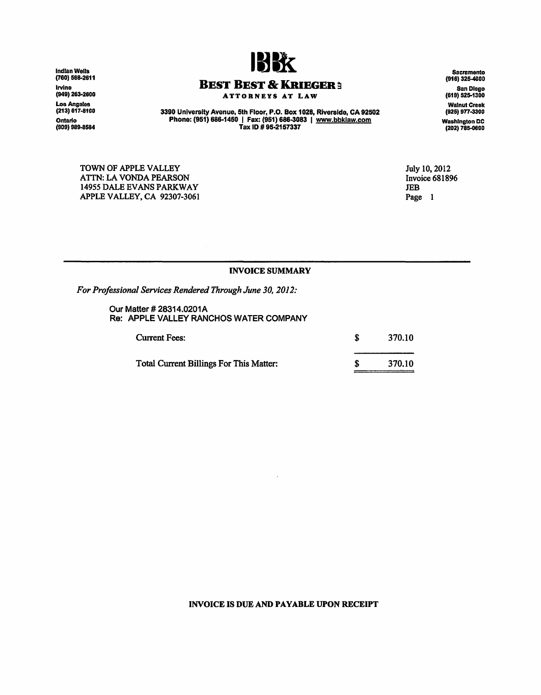Indian Wells<br>(760) 568-<mark>2611</mark> lrvine<br>(949) 263-260<mark>0</mark> Loa Angeles (213) 617-8100 Ontario<br>(909) 989-8584



## BEST BEST & KRIEGER :

ATTORNEYS AT LAW

3390 University Avenue, 5th Floor, P.O. Box 1028, Riverside, CA 92502 Phone: (951) 886·1450 I Fax: (951) 686-3083 I www.bbklaw.com Tax ID# 95·2157337

Sacramento (916) 325-4000 San Diego (619} 525-1300 Walnut Creek (925) 977-3300 Washington DC (202) 785-0600

TOWN OF APPLE VALLEY ATTN: LA VONDA PEARSON 14955 DALE EVANS PARKWAY APPLE VALLEY, CA 92307-3061 July 10, 2012 Invoice 681896 JEB Page 1

## INVOICE SUMMARY

*For Professional Services Rendered Through June 30, 2012:* 

Our Matter# 28314.0201A Re: APPLE VALLEY RANCHOS WATER COMPANY

| <b>Current Fees:</b>                           | 370.10 |
|------------------------------------------------|--------|
| <b>Total Current Billings For This Matter:</b> | 370.10 |

## INVOICE IS DUE AND PAYABLE UPON RECEIPT